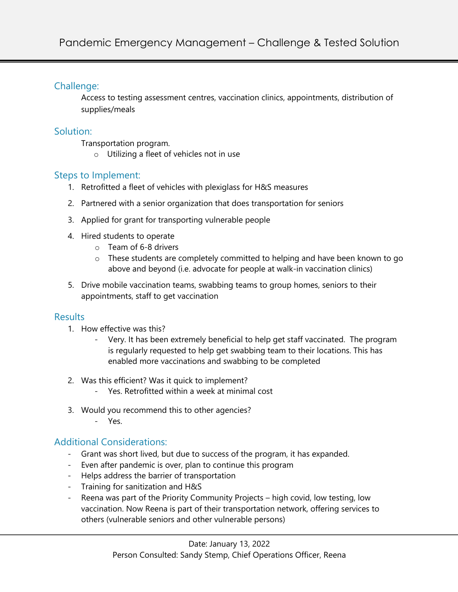### Challenge:

Access to testing assessment centres, vaccination clinics, appointments, distribution of supplies/meals

# Solution:

Transportation program.

o Utilizing a fleet of vehicles not in use

# Steps to Implement:

- 1. Retrofitted a fleet of vehicles with plexiglass for H&S measures
- 2. Partnered with a senior organization that does transportation for seniors
- 3. Applied for grant for transporting vulnerable people
- 4. Hired students to operate
	- o Team of 6-8 drivers
	- o These students are completely committed to helping and have been known to go above and beyond (i.e. advocate for people at walk-in vaccination clinics)
- 5. Drive mobile vaccination teams, swabbing teams to group homes, seniors to their appointments, staff to get vaccination

### **Results**

- 1. How effective was this?
	- Very. It has been extremely beneficial to help get staff vaccinated. The program is regularly requested to help get swabbing team to their locations. This has enabled more vaccinations and swabbing to be completed
- 2. Was this efficient? Was it quick to implement?
	- Yes. Retrofitted within a week at minimal cost
- 3. Would you recommend this to other agencies?
	- Yes.

# Additional Considerations:

- Grant was short lived, but due to success of the program, it has expanded.
- Even after pandemic is over, plan to continue this program
- Helps address the barrier of transportation
- Training for sanitization and H&S
- Reena was part of the Priority Community Projects high covid, low testing, low vaccination. Now Reena is part of their transportation network, offering services to others (vulnerable seniors and other vulnerable persons)